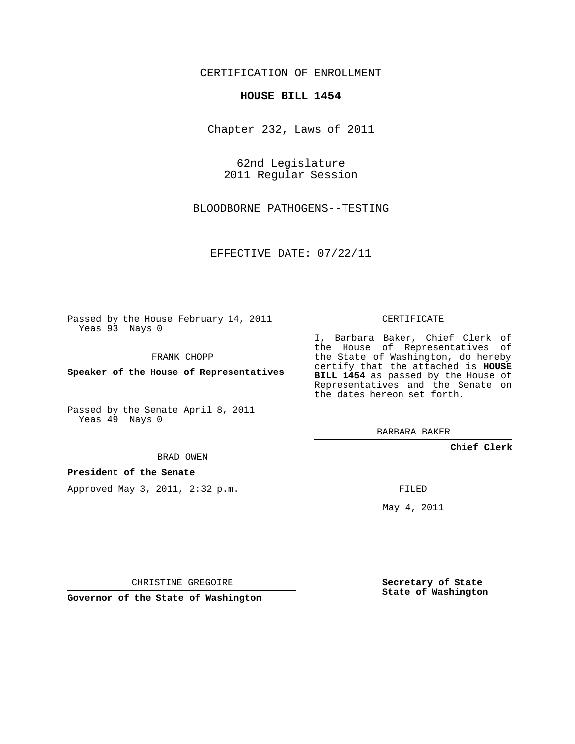CERTIFICATION OF ENROLLMENT

## **HOUSE BILL 1454**

Chapter 232, Laws of 2011

62nd Legislature 2011 Regular Session

BLOODBORNE PATHOGENS--TESTING

EFFECTIVE DATE: 07/22/11

Passed by the House February 14, 2011 Yeas 93 Nays 0

FRANK CHOPP

**Speaker of the House of Representatives**

Passed by the Senate April 8, 2011 Yeas 49 Nays 0

BRAD OWEN

**President of the Senate**

Approved May 3, 2011, 2:32 p.m.

CERTIFICATE

I, Barbara Baker, Chief Clerk of the House of Representatives of the State of Washington, do hereby certify that the attached is **HOUSE BILL 1454** as passed by the House of Representatives and the Senate on the dates hereon set forth.

BARBARA BAKER

**Chief Clerk**

FILED

May 4, 2011

**Secretary of State State of Washington**

CHRISTINE GREGOIRE

**Governor of the State of Washington**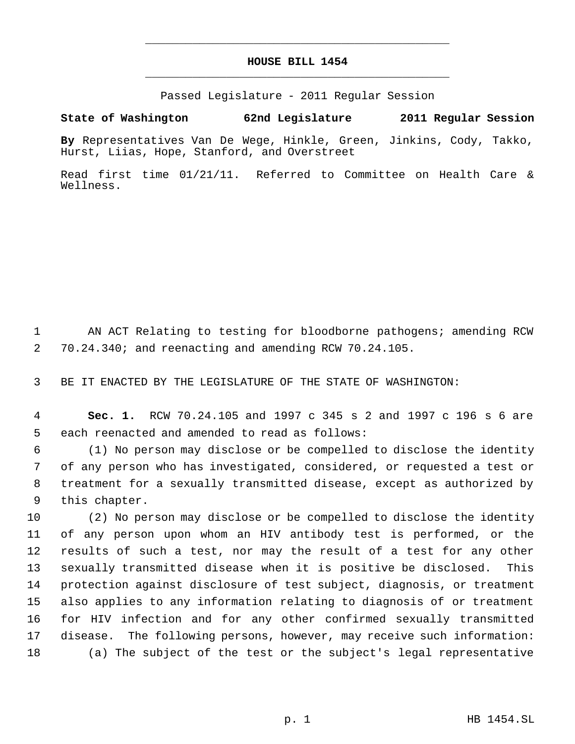## **HOUSE BILL 1454** \_\_\_\_\_\_\_\_\_\_\_\_\_\_\_\_\_\_\_\_\_\_\_\_\_\_\_\_\_\_\_\_\_\_\_\_\_\_\_\_\_\_\_\_\_

\_\_\_\_\_\_\_\_\_\_\_\_\_\_\_\_\_\_\_\_\_\_\_\_\_\_\_\_\_\_\_\_\_\_\_\_\_\_\_\_\_\_\_\_\_

Passed Legislature - 2011 Regular Session

## **State of Washington 62nd Legislature 2011 Regular Session**

**By** Representatives Van De Wege, Hinkle, Green, Jinkins, Cody, Takko, Hurst, Liias, Hope, Stanford, and Overstreet

Read first time 01/21/11. Referred to Committee on Health Care & Wellness.

 AN ACT Relating to testing for bloodborne pathogens; amending RCW 70.24.340; and reenacting and amending RCW 70.24.105.

BE IT ENACTED BY THE LEGISLATURE OF THE STATE OF WASHINGTON:

 **Sec. 1.** RCW 70.24.105 and 1997 c 345 s 2 and 1997 c 196 s 6 are each reenacted and amended to read as follows:

 (1) No person may disclose or be compelled to disclose the identity of any person who has investigated, considered, or requested a test or treatment for a sexually transmitted disease, except as authorized by this chapter.

 (2) No person may disclose or be compelled to disclose the identity of any person upon whom an HIV antibody test is performed, or the results of such a test, nor may the result of a test for any other sexually transmitted disease when it is positive be disclosed. This protection against disclosure of test subject, diagnosis, or treatment also applies to any information relating to diagnosis of or treatment for HIV infection and for any other confirmed sexually transmitted disease. The following persons, however, may receive such information: (a) The subject of the test or the subject's legal representative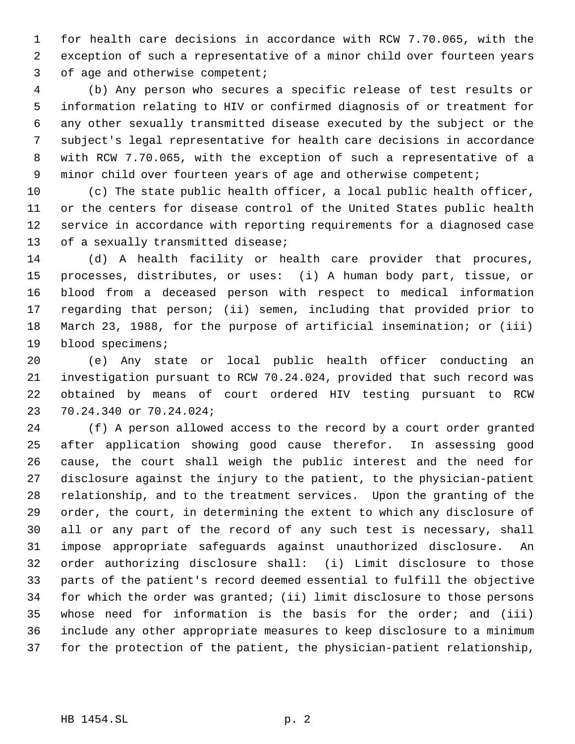for health care decisions in accordance with RCW 7.70.065, with the exception of such a representative of a minor child over fourteen years 3 of age and otherwise competent;

 (b) Any person who secures a specific release of test results or information relating to HIV or confirmed diagnosis of or treatment for any other sexually transmitted disease executed by the subject or the subject's legal representative for health care decisions in accordance with RCW 7.70.065, with the exception of such a representative of a minor child over fourteen years of age and otherwise competent;

 (c) The state public health officer, a local public health officer, or the centers for disease control of the United States public health service in accordance with reporting requirements for a diagnosed case 13 of a sexually transmitted disease;

 (d) A health facility or health care provider that procures, processes, distributes, or uses: (i) A human body part, tissue, or blood from a deceased person with respect to medical information regarding that person; (ii) semen, including that provided prior to March 23, 1988, for the purpose of artificial insemination; or (iii) blood specimens;

 (e) Any state or local public health officer conducting an investigation pursuant to RCW 70.24.024, provided that such record was obtained by means of court ordered HIV testing pursuant to RCW 70.24.340 or 70.24.024;

 (f) A person allowed access to the record by a court order granted after application showing good cause therefor. In assessing good cause, the court shall weigh the public interest and the need for disclosure against the injury to the patient, to the physician-patient relationship, and to the treatment services. Upon the granting of the order, the court, in determining the extent to which any disclosure of all or any part of the record of any such test is necessary, shall impose appropriate safeguards against unauthorized disclosure. An order authorizing disclosure shall: (i) Limit disclosure to those parts of the patient's record deemed essential to fulfill the objective for which the order was granted; (ii) limit disclosure to those persons whose need for information is the basis for the order; and (iii) include any other appropriate measures to keep disclosure to a minimum for the protection of the patient, the physician-patient relationship,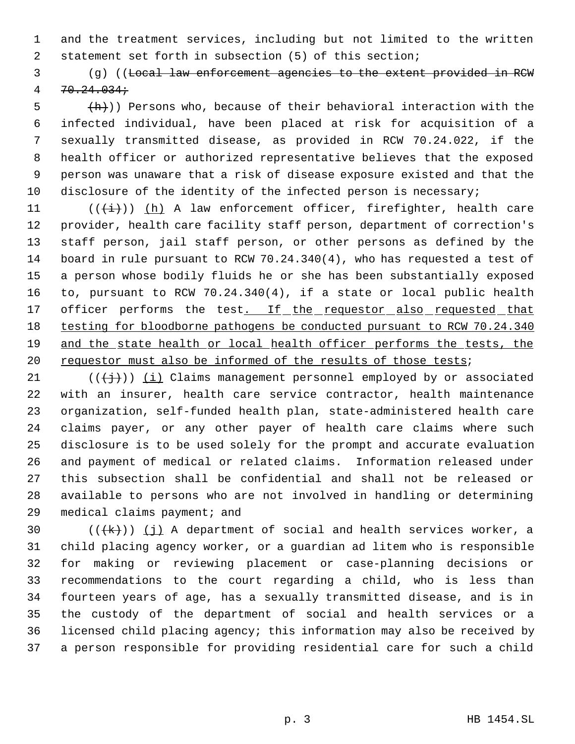and the treatment services, including but not limited to the written statement set forth in subsection (5) of this section;

 (g) ((Local law enforcement agencies to the extent provided in RCW  $4 \quad 70.24.034 \,$ 

 $\frac{1}{2}$  (h)) Persons who, because of their behavioral interaction with the infected individual, have been placed at risk for acquisition of a sexually transmitted disease, as provided in RCW 70.24.022, if the health officer or authorized representative believes that the exposed person was unaware that a risk of disease exposure existed and that the 10 disclosure of the identity of the infected person is necessary;

11 ( $(\frac{1}{1})$ ) (h) A law enforcement officer, firefighter, health care provider, health care facility staff person, department of correction's staff person, jail staff person, or other persons as defined by the board in rule pursuant to RCW 70.24.340(4), who has requested a test of a person whose bodily fluids he or she has been substantially exposed to, pursuant to RCW 70.24.340(4), if a state or local public health 17 officer performs the test. If the requestor also requested that testing for bloodborne pathogens be conducted pursuant to RCW 70.24.340 19 and the state health or local health officer performs the tests, the 20 requestor must also be informed of the results of those tests;

21 ( $(\frac{1}{2})$ ) (i) Claims management personnel employed by or associated with an insurer, health care service contractor, health maintenance organization, self-funded health plan, state-administered health care claims payer, or any other payer of health care claims where such disclosure is to be used solely for the prompt and accurate evaluation and payment of medical or related claims. Information released under this subsection shall be confidential and shall not be released or available to persons who are not involved in handling or determining medical claims payment; and

 $((+k))$  (j) A department of social and health services worker, a child placing agency worker, or a guardian ad litem who is responsible for making or reviewing placement or case-planning decisions or recommendations to the court regarding a child, who is less than fourteen years of age, has a sexually transmitted disease, and is in the custody of the department of social and health services or a licensed child placing agency; this information may also be received by a person responsible for providing residential care for such a child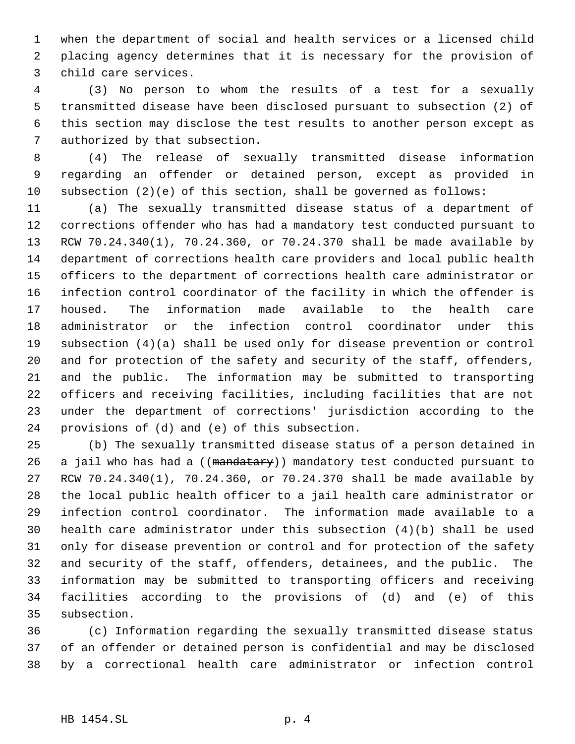when the department of social and health services or a licensed child placing agency determines that it is necessary for the provision of child care services.

 (3) No person to whom the results of a test for a sexually transmitted disease have been disclosed pursuant to subsection (2) of this section may disclose the test results to another person except as authorized by that subsection.

 (4) The release of sexually transmitted disease information regarding an offender or detained person, except as provided in subsection (2)(e) of this section, shall be governed as follows:

 (a) The sexually transmitted disease status of a department of corrections offender who has had a mandatory test conducted pursuant to RCW 70.24.340(1), 70.24.360, or 70.24.370 shall be made available by department of corrections health care providers and local public health officers to the department of corrections health care administrator or infection control coordinator of the facility in which the offender is housed. The information made available to the health care administrator or the infection control coordinator under this subsection (4)(a) shall be used only for disease prevention or control and for protection of the safety and security of the staff, offenders, and the public. The information may be submitted to transporting officers and receiving facilities, including facilities that are not under the department of corrections' jurisdiction according to the provisions of (d) and (e) of this subsection.

 (b) The sexually transmitted disease status of a person detained in 26 a jail who has had a ((mandatary)) mandatory test conducted pursuant to RCW 70.24.340(1), 70.24.360, or 70.24.370 shall be made available by the local public health officer to a jail health care administrator or infection control coordinator. The information made available to a health care administrator under this subsection (4)(b) shall be used only for disease prevention or control and for protection of the safety and security of the staff, offenders, detainees, and the public. The information may be submitted to transporting officers and receiving facilities according to the provisions of (d) and (e) of this subsection.

 (c) Information regarding the sexually transmitted disease status of an offender or detained person is confidential and may be disclosed by a correctional health care administrator or infection control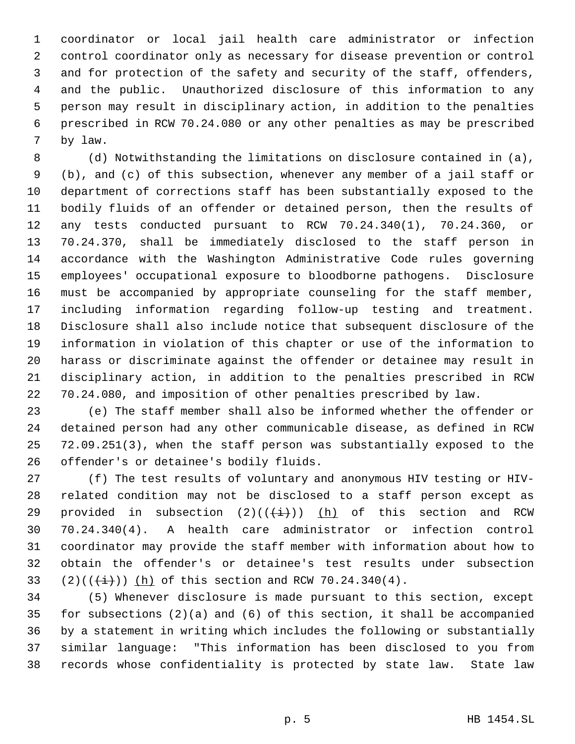coordinator or local jail health care administrator or infection control coordinator only as necessary for disease prevention or control and for protection of the safety and security of the staff, offenders, and the public. Unauthorized disclosure of this information to any person may result in disciplinary action, in addition to the penalties prescribed in RCW 70.24.080 or any other penalties as may be prescribed by law.

 (d) Notwithstanding the limitations on disclosure contained in (a), (b), and (c) of this subsection, whenever any member of a jail staff or department of corrections staff has been substantially exposed to the bodily fluids of an offender or detained person, then the results of any tests conducted pursuant to RCW 70.24.340(1), 70.24.360, or 70.24.370, shall be immediately disclosed to the staff person in accordance with the Washington Administrative Code rules governing employees' occupational exposure to bloodborne pathogens. Disclosure must be accompanied by appropriate counseling for the staff member, including information regarding follow-up testing and treatment. Disclosure shall also include notice that subsequent disclosure of the information in violation of this chapter or use of the information to harass or discriminate against the offender or detainee may result in disciplinary action, in addition to the penalties prescribed in RCW 70.24.080, and imposition of other penalties prescribed by law.

 (e) The staff member shall also be informed whether the offender or detained person had any other communicable disease, as defined in RCW 72.09.251(3), when the staff person was substantially exposed to the offender's or detainee's bodily fluids.

 (f) The test results of voluntary and anonymous HIV testing or HIV- related condition may not be disclosed to a staff person except as 29 provided in subsection  $(2)((\{\pm\})$  (h) of this section and RCW 70.24.340(4). A health care administrator or infection control coordinator may provide the staff member with information about how to obtain the offender's or detainee's test results under subsection 33 (2)( $(\frac{1}{(i)})$ ) (h) of this section and RCW 70.24.340(4).

 (5) Whenever disclosure is made pursuant to this section, except for subsections (2)(a) and (6) of this section, it shall be accompanied by a statement in writing which includes the following or substantially similar language: "This information has been disclosed to you from records whose confidentiality is protected by state law. State law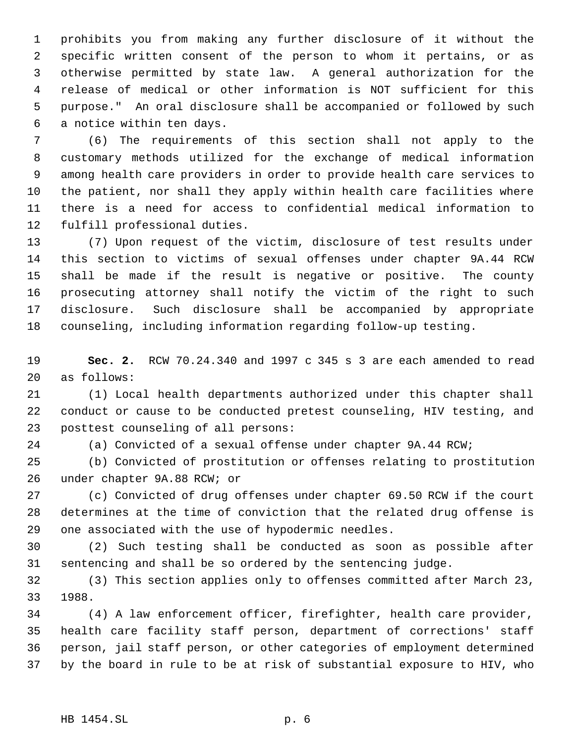prohibits you from making any further disclosure of it without the specific written consent of the person to whom it pertains, or as otherwise permitted by state law. A general authorization for the release of medical or other information is NOT sufficient for this purpose." An oral disclosure shall be accompanied or followed by such a notice within ten days.

 (6) The requirements of this section shall not apply to the customary methods utilized for the exchange of medical information among health care providers in order to provide health care services to the patient, nor shall they apply within health care facilities where there is a need for access to confidential medical information to fulfill professional duties.

 (7) Upon request of the victim, disclosure of test results under this section to victims of sexual offenses under chapter 9A.44 RCW shall be made if the result is negative or positive. The county prosecuting attorney shall notify the victim of the right to such disclosure. Such disclosure shall be accompanied by appropriate counseling, including information regarding follow-up testing.

 **Sec. 2.** RCW 70.24.340 and 1997 c 345 s 3 are each amended to read as follows:

 (1) Local health departments authorized under this chapter shall conduct or cause to be conducted pretest counseling, HIV testing, and posttest counseling of all persons:

(a) Convicted of a sexual offense under chapter 9A.44 RCW;

 (b) Convicted of prostitution or offenses relating to prostitution under chapter 9A.88 RCW; or

 (c) Convicted of drug offenses under chapter 69.50 RCW if the court determines at the time of conviction that the related drug offense is one associated with the use of hypodermic needles.

 (2) Such testing shall be conducted as soon as possible after sentencing and shall be so ordered by the sentencing judge.

 (3) This section applies only to offenses committed after March 23, 1988.

 (4) A law enforcement officer, firefighter, health care provider, health care facility staff person, department of corrections' staff person, jail staff person, or other categories of employment determined by the board in rule to be at risk of substantial exposure to HIV, who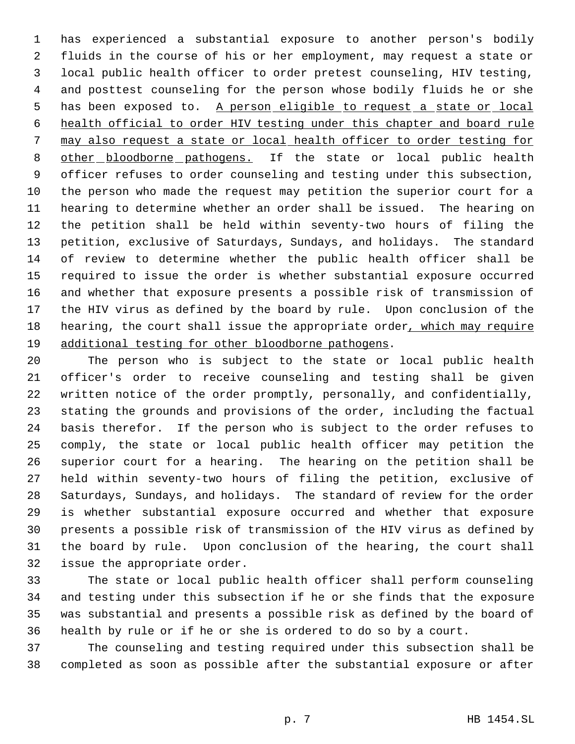has experienced a substantial exposure to another person's bodily fluids in the course of his or her employment, may request a state or local public health officer to order pretest counseling, HIV testing, and posttest counseling for the person whose bodily fluids he or she 5 has been exposed to. A person eligible to request a state or local health official to order HIV testing under this chapter and board rule may also request a state or local health officer to order testing for 8 other bloodborne pathogens. If the state or local public health officer refuses to order counseling and testing under this subsection, the person who made the request may petition the superior court for a hearing to determine whether an order shall be issued. The hearing on the petition shall be held within seventy-two hours of filing the petition, exclusive of Saturdays, Sundays, and holidays. The standard of review to determine whether the public health officer shall be required to issue the order is whether substantial exposure occurred and whether that exposure presents a possible risk of transmission of the HIV virus as defined by the board by rule. Upon conclusion of the hearing, the court shall issue the appropriate order, which may require 19 additional testing for other bloodborne pathogens.

 The person who is subject to the state or local public health officer's order to receive counseling and testing shall be given written notice of the order promptly, personally, and confidentially, stating the grounds and provisions of the order, including the factual basis therefor. If the person who is subject to the order refuses to comply, the state or local public health officer may petition the superior court for a hearing. The hearing on the petition shall be held within seventy-two hours of filing the petition, exclusive of Saturdays, Sundays, and holidays. The standard of review for the order is whether substantial exposure occurred and whether that exposure presents a possible risk of transmission of the HIV virus as defined by the board by rule. Upon conclusion of the hearing, the court shall issue the appropriate order.

 The state or local public health officer shall perform counseling and testing under this subsection if he or she finds that the exposure was substantial and presents a possible risk as defined by the board of health by rule or if he or she is ordered to do so by a court.

 The counseling and testing required under this subsection shall be completed as soon as possible after the substantial exposure or after